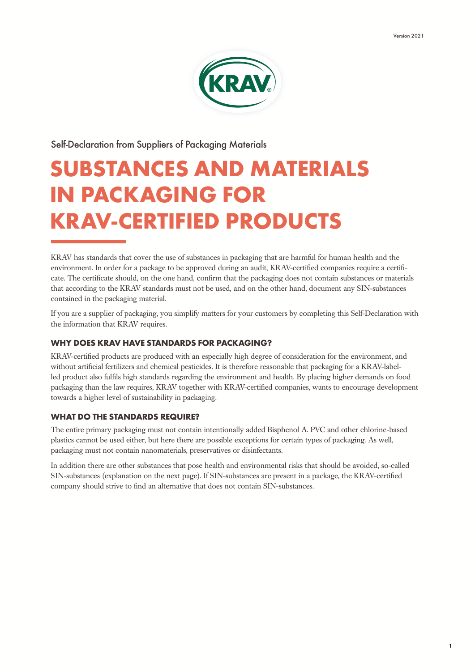

Self-Declaration from Suppliers of Packaging Materials

# SUBSTANCES AND MATERIALS IN PACKAGING FOR KRAV-CERTIFIED PRODUCTS

KRAV has standards that cover the use of substances in packaging that are harmful for human health and the environment. In order for a package to be approved during an audit, KRAV-certified companies require a certificate. The certificate should, on the one hand, confirm that the packaging does not contain substances or materials that according to the KRAV standards must not be used, and on the other hand, document any SIN-substances contained in the packaging material.

If you are a supplier of packaging, you simplify matters for your customers by completing this Self-Declaration with the information that KRAV requires.

### WHY DOES KRAV HAVE STANDARDS FOR PACKAGING?

KRAV-certified products are produced with an especially high degree of consideration for the environment, and without artificial fertilizers and chemical pesticides. It is therefore reasonable that packaging for a KRAV-labelled product also fulfils high standards regarding the environment and health. By placing higher demands on food packaging than the law requires, KRAV together with KRAV-certified companies, wants to encourage development towards a higher level of sustainability in packaging.

### WHAT DO THE STANDARDS REQUIRE?

The entire primary packaging must not contain intentionally added Bisphenol A. PVC and other chlorine-based plastics cannot be used either, but here there are possible exceptions for certain types of packaging. As well, packaging must not contain nanomaterials, preservatives or disinfectants.

In addition there are other substances that pose health and environmental risks that should be avoided, so-called SIN-substances (explanation on the next page). If SIN-substances are present in a package, the KRAV-certified company should strive to find an alternative that does not contain SIN-substances.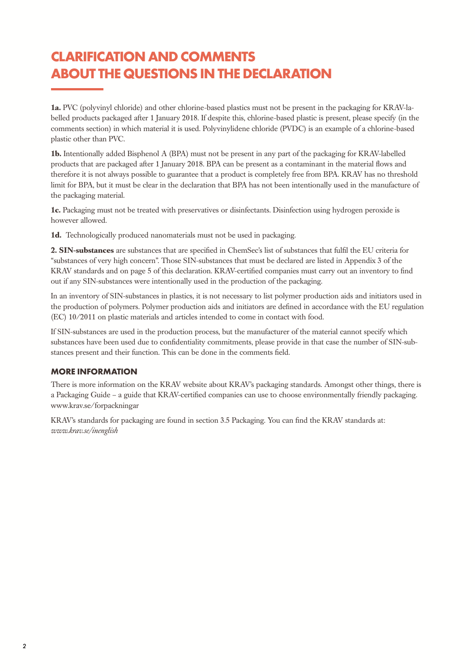### CLARIFICATION AND COMMENTS ABOUT THE QUESTIONS IN THE DECLARATION

**1a.** PVC (polyvinyl chloride) and other chlorine-based plastics must not be present in the packaging for KRAV-labelled products packaged after 1 January 2018. If despite this, chlorine-based plastic is present, please specify (in the comments section) in which material it is used. Polyvinylidene chloride (PVDC) is an example of a chlorine-based plastic other than PVC.

**1b.** Intentionally added Bisphenol A (BPA) must not be present in any part of the packaging for KRAV-labelled products that are packaged after 1 January 2018. BPA can be present as a contaminant in the material flows and therefore it is not always possible to guarantee that a product is completely free from BPA. KRAV has no threshold limit for BPA, but it must be clear in the declaration that BPA has not been intentionally used in the manufacture of the packaging material.

**1c.** Packaging must not be treated with preservatives or disinfectants. Disinfection using hydrogen peroxide is however allowed.

**1d.** Technologically produced nanomaterials must not be used in packaging.

**2. SIN-substances** are substances that are specified in ChemSec's list of substances that fulfil the EU criteria for "substances of very high concern". Those SIN-substances that must be declared are listed in Appendix 3 of the KRAV standards and on page 5 of this declaration. KRAV-certified companies must carry out an inventory to find out if any SIN-substances were intentionally used in the production of the packaging.

In an inventory of SIN-substances in plastics, it is not necessary to list polymer production aids and initiators used in the production of polymers. Polymer production aids and initiators are defined in accordance with the EU regulation (EC) 10/2011 on plastic materials and articles intended to come in contact with food.

If SIN-substances are used in the production process, but the manufacturer of the material cannot specify which substances have been used due to confidentiality commitments, please provide in that case the number of SIN-substances present and their function. This can be done in the comments field.

### MORE INFORMATION

There is more information on the KRAV website about KRAV's packaging standards. Amongst other things, there is a Packaging Guide – a guide that KRAV-certified companies can use to choose environmentally friendly packaging. www.krav.se/forpackningar

KRAV's standards for packaging are found in section 3.5 Packaging. You can find the KRAV standards at: *www.krav.se/inenglish*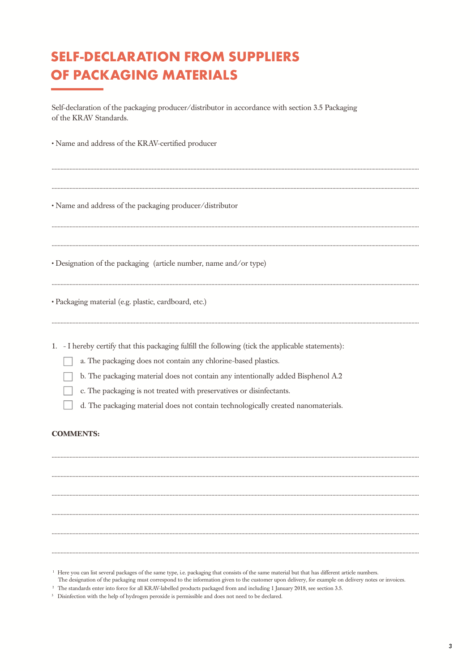## **SELF-DECLARATION FROM SUPPLIERS** OF PACKAGING MATERIALS

Self-declaration of the packaging producer/distributor in accordance with section 3.5 Packaging of the KRAV Standards.

· Name and address of the KRAV-certified producer

• Name and address of the packaging producer/distributor

• Designation of the packaging (article number, name and/or type)

· Packaging material (e.g. plastic, cardboard, etc.)

1. - I hereby certify that this packaging fulfill the following (tick the applicable statements):

a. The packaging does not contain any chlorine-based plastics.

b. The packaging material does not contain any intentionally added Bisphenol A.2

c. The packaging is not treated with preservatives or disinfectants.

d. The packaging material does not contain technologically created nanomaterials.

#### **COMMENTS.**

<sup>&</sup>lt;sup>1</sup> Here you can list several packages of the same type, i.e. packaging that consists of the same material but that has different article numbers.

The designation of the packaging must correspond to the information given to the customer upon delivery, for example on delivery notes or invoices.

<sup>&</sup>lt;sup>2</sup> The standards enter into force for all KRAV-labelled products packaged from and including 1 January 2018, see section 3.5.

<sup>&</sup>lt;sup>3</sup> Disinfection with the help of hydrogen peroxide is permissible and does not need to be declared.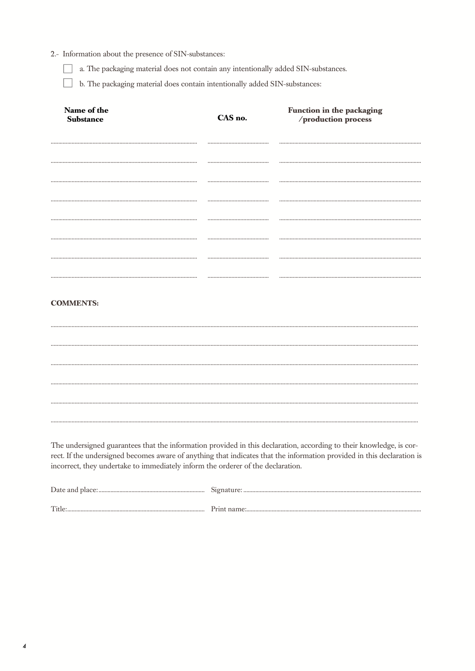### 2.- Information about the presence of SIN-substances:

a. The packaging material does not contain any intentionally added SIN-substances.

b. The packaging material does contain intentionally added SIN-substances:

| Name of the<br><b>Substance</b>                                                                                                                                                                                                                                                                                                  | CAS no. | Function in the packaging<br>/production process |
|----------------------------------------------------------------------------------------------------------------------------------------------------------------------------------------------------------------------------------------------------------------------------------------------------------------------------------|---------|--------------------------------------------------|
|                                                                                                                                                                                                                                                                                                                                  |         |                                                  |
|                                                                                                                                                                                                                                                                                                                                  |         |                                                  |
|                                                                                                                                                                                                                                                                                                                                  |         |                                                  |
|                                                                                                                                                                                                                                                                                                                                  |         |                                                  |
|                                                                                                                                                                                                                                                                                                                                  |         |                                                  |
|                                                                                                                                                                                                                                                                                                                                  |         |                                                  |
|                                                                                                                                                                                                                                                                                                                                  |         |                                                  |
| <b>COMMENTS:</b>                                                                                                                                                                                                                                                                                                                 |         |                                                  |
|                                                                                                                                                                                                                                                                                                                                  |         |                                                  |
|                                                                                                                                                                                                                                                                                                                                  |         |                                                  |
|                                                                                                                                                                                                                                                                                                                                  |         |                                                  |
|                                                                                                                                                                                                                                                                                                                                  |         |                                                  |
|                                                                                                                                                                                                                                                                                                                                  |         |                                                  |
|                                                                                                                                                                                                                                                                                                                                  |         |                                                  |
| The undersigned guarantees that the information provided in this declaration, according to their knowledge, is cor-<br>rect. If the undersigned becomes aware of anything that indicates that the information provided in this declaration is<br>incorrect, they undertake to immediately inform the orderer of the declaration. |         |                                                  |
|                                                                                                                                                                                                                                                                                                                                  |         |                                                  |
|                                                                                                                                                                                                                                                                                                                                  |         |                                                  |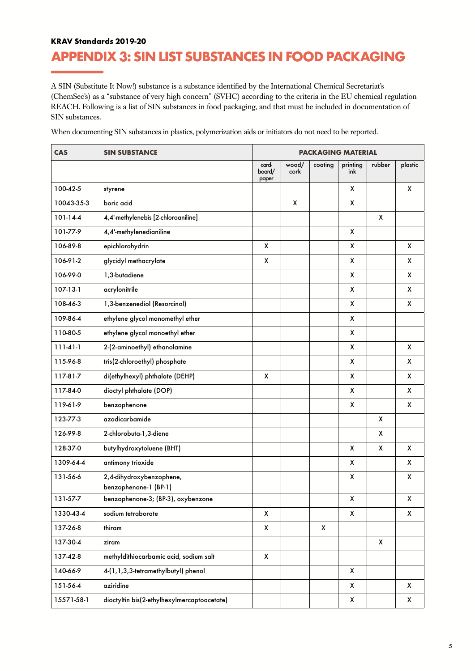### KRAV Standards 2019-20

### APPENDIX 3: SIN LIST SUBSTANCES IN FOOD PACKAGING

A SIN (Substitute It Now!) substance is a substance identified by the International Chemical Secretariat's (ChemSec's) as a "substance of very high concern" (SVHC) according to the criteria in the EU chemical regulation REACH. Following is a list of SIN substances in food packaging, and that must be included in documentation of SIN substances.

When documenting SIN substances in plastics, polymerization aids or initiators do not need to be reported.

| <b>CAS</b>     | <b>SIN SUBSTANCE</b>                              |                          | <b>PACKAGING MATERIAL</b> |         |                    |        |         |  |
|----------------|---------------------------------------------------|--------------------------|---------------------------|---------|--------------------|--------|---------|--|
|                |                                                   | card-<br>board/<br>paper | wood/<br>cork             | coating | printing<br>ink    | rubber | plastic |  |
| 100-42-5       | styrene                                           |                          |                           |         | x                  |        | X       |  |
| 10043-35-3     | boric acid                                        |                          | X                         |         | X                  |        |         |  |
| $101 - 14 - 4$ | 4,4'-methylenebis [2-chloroaniline]               |                          |                           |         |                    | X      |         |  |
| 101-77-9       | 4,4'-methylenedianiline                           |                          |                           |         | X                  |        |         |  |
| 106-89-8       | epichlorohydrin                                   | X                        |                           |         | X                  |        | X       |  |
| 106-91-2       | glycidyl methacrylate                             | X                        |                           |         | χ                  |        | X       |  |
| 106-99-0       | 1,3-butadiene                                     |                          |                           |         | χ                  |        | X       |  |
| 107-13-1       | acrylonitrile                                     |                          |                           |         | X                  |        | X       |  |
| 108-46-3       | 1,3-benzenediol (Resorcinol)                      |                          |                           |         | X                  |        | X       |  |
| 109-86-4       | ethylene glycol monomethyl ether                  |                          |                           |         | X                  |        |         |  |
| 110-80-5       | ethylene glycol monoethyl ether                   |                          |                           |         | X                  |        |         |  |
| $111-41-1$     | 2-(2-aminoethyl) ethanolamine                     |                          |                           |         | X                  |        | X       |  |
| 115-96-8       | tris(2-chloroethyl) phosphate                     |                          |                           |         | X                  |        | X       |  |
| 117-81-7       | di(ethylhexyl) phthalate (DEHP)                   | X                        |                           |         | X                  |        | X       |  |
| 117-84-0       | dioctyl phthalate (DOP)                           |                          |                           |         | X                  |        | X       |  |
| 119-61-9       | benzophenone                                      |                          |                           |         | X                  |        | X       |  |
| 123-77-3       | azodicarbamide                                    |                          |                           |         |                    | X      |         |  |
| 126-99-8       | 2-chlorobuta-1,3-diene                            |                          |                           |         |                    | X      |         |  |
| 128-37-0       | butylhydroxytoluene (BHT)                         |                          |                           |         | X                  | X      | X       |  |
| 1309-64-4      | antimony trioxide                                 |                          |                           |         | X                  |        | X       |  |
| 131-56-6       | 2,4-dihydroxybenzophene,<br>benzophenone-1 (BP-1) |                          |                           |         | $\pmb{\mathsf{X}}$ |        | X       |  |
| 131-57-7       | benzophenone-3; (BP-3), oxybenzone                |                          |                           |         | Χ                  |        | χ       |  |
| 1330-43-4      | sodium tetraborate                                | X                        |                           |         | X                  |        | X       |  |
| 137-26-8       | thiram                                            | X                        |                           | X       |                    |        |         |  |
| 137-30-4       | ziram                                             |                          |                           |         |                    | X      |         |  |
| 137-42-8       | methyldithiocarbamic acid, sodium salt            | X                        |                           |         |                    |        |         |  |
| 140-66-9       | 4-(1,1,3,3-tetramethylbutyl) phenol               |                          |                           |         | X                  |        |         |  |
| 151-56-4       | aziridine                                         |                          |                           |         | X                  |        | X       |  |
| 15571-58-1     | dioctyltin bis(2-ethylhexylmercaptoacetate)       |                          |                           |         | X                  |        | X       |  |